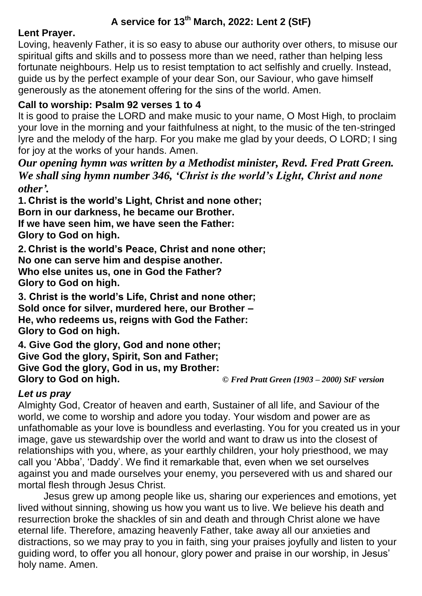# **A service for 13th March, 2022: Lent 2 (StF)**

### **Lent Prayer.**

Loving, heavenly Father, it is so easy to abuse our authority over others, to misuse our spiritual gifts and skills and to possess more than we need, rather than helping less fortunate neighbours. Help us to resist temptation to act selfishly and cruelly. Instead, guide us by the perfect example of your dear Son, our Saviour, who gave himself generously as the atonement offering for the sins of the world. Amen.

### **Call to worship: Psalm 92 verses 1 to 4**

It is good to praise the LORD and make music to your name, O Most High, to proclaim your love in the morning and your faithfulness at night, to the music of the ten-stringed lyre and the melody of the harp. For you make me glad by your deeds, O LORD; I sing for joy at the works of your hands. Amen.

*Our opening hymn was written by a Methodist minister, Revd. Fred Pratt Green. We shall sing hymn number 346, 'Christ is the world's Light, Christ and none other'.*

**1. Christ is the world's Light, Christ and none other; Born in our darkness, he became our Brother. If we have seen him, we have seen the Father: Glory to God on high.**

**2. Christ is the world's Peace, Christ and none other; No one can serve him and despise another. Who else unites us, one in God the Father? Glory to God on high.**

**3. Christ is the world's Life, Christ and none other; Sold once for silver, murdered here, our Brother – He, who redeems us, reigns with God the Father: Glory to God on high.** 

**4. Give God the glory, God and none other; Give God the glory, Spirit, Son and Father; Give God the glory, God in us, my Brother: Glory to God on high.** *© Fred Pratt Green {1903 – 2000) StF version*

# *Let us pray*

Almighty God, Creator of heaven and earth, Sustainer of all life, and Saviour of the world, we come to worship and adore you today. Your wisdom and power are as unfathomable as your love is boundless and everlasting. You for you created us in your image, gave us stewardship over the world and want to draw us into the closest of relationships with you, where, as your earthly children, your holy priesthood, we may call you 'Abba', 'Daddy'. We find it remarkable that, even when we set ourselves against you and made ourselves your enemy, you persevered with us and shared our mortal flesh through Jesus Christ.

Jesus grew up among people like us, sharing our experiences and emotions, yet lived without sinning, showing us how you want us to live. We believe his death and resurrection broke the shackles of sin and death and through Christ alone we have eternal life. Therefore, amazing heavenly Father, take away all our anxieties and distractions, so we may pray to you in faith, sing your praises joyfully and listen to your guiding word, to offer you all honour, glory power and praise in our worship, in Jesus' holy name. Amen.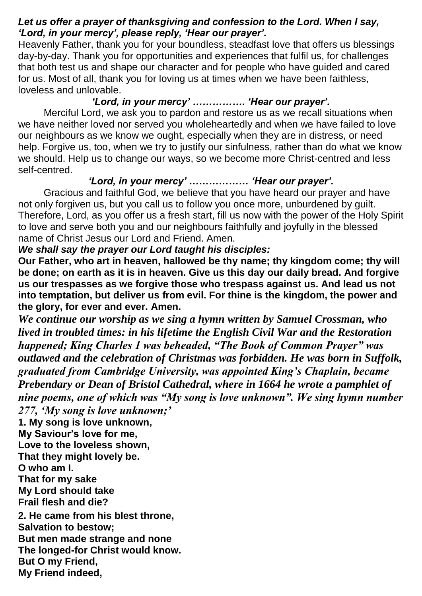### *Let us offer a prayer of thanksgiving and confession to the Lord. When I say, 'Lord, in your mercy', please reply, 'Hear our prayer'.*

Heavenly Father, thank you for your boundless, steadfast love that offers us blessings day-by-day. Thank you for opportunities and experiences that fulfil us, for challenges that both test us and shape our character and for people who have guided and cared for us. Most of all, thank you for loving us at times when we have been faithless, loveless and unlovable.

## *'Lord, in your mercy' ……………. 'Hear our prayer'.*

Merciful Lord, we ask you to pardon and restore us as we recall situations when we have neither loved nor served you wholeheartedly and when we have failed to love our neighbours as we know we ought, especially when they are in distress, or need help. Forgive us, too, when we try to justify our sinfulness, rather than do what we know we should. Help us to change our ways, so we become more Christ-centred and less self-centred.

# *'Lord, in your mercy' ……………… 'Hear our prayer'.*

Gracious and faithful God, we believe that you have heard our prayer and have not only forgiven us, but you call us to follow you once more, unburdened by guilt. Therefore, Lord, as you offer us a fresh start, fill us now with the power of the Holy Spirit to love and serve both you and our neighbours faithfully and joyfully in the blessed name of Christ Jesus our Lord and Friend. Amen.

### *We shall say the prayer our Lord taught his disciples:*

**Our Father, who art in heaven, hallowed be thy name; thy kingdom come; thy will be done; on earth as it is in heaven. Give us this day our daily bread. And forgive us our trespasses as we forgive those who trespass against us. And lead us not into temptation, but deliver us from evil. For thine is the kingdom, the power and the glory, for ever and ever. Amen.**

*We continue our worship as we sing a hymn written by Samuel Crossman, who lived in troubled times: in his lifetime the English Civil War and the Restoration happened; King Charles 1 was beheaded, "The Book of Common Prayer" was outlawed and the celebration of Christmas was forbidden. He was born in Suffolk, graduated from Cambridge University, was appointed King's Chaplain, became Prebendary or Dean of Bristol Cathedral, where in 1664 he wrote a pamphlet of nine poems, one of which was "My song is love unknown". We sing hymn number 277, 'My song is love unknown;'*

**1. My song is love unknown, My Saviour's love for me, Love to the loveless shown, That they might lovely be. O who am I. That for my sake My Lord should take Frail flesh and die? 2. He came from his blest throne, Salvation to bestow; But men made strange and none The longed-for Christ would know. But O my Friend, My Friend indeed,**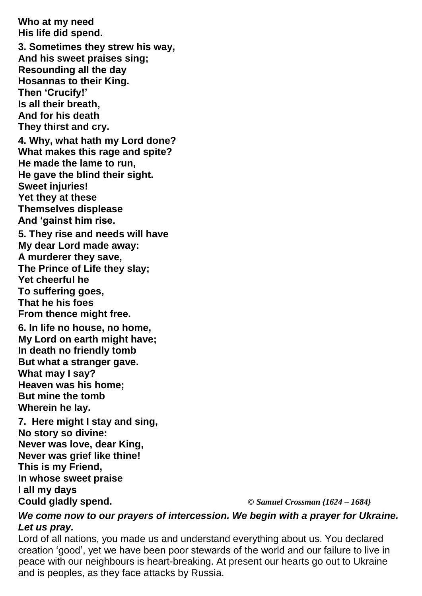**Who at my need His life did spend. 3. Sometimes they strew his way, And his sweet praises sing; Resounding all the day Hosannas to their King. Then 'Crucify!' Is all their breath, And for his death They thirst and cry. 4. Why, what hath my Lord done? What makes this rage and spite? He made the lame to run, He gave the blind their sight. Sweet injuries! Yet they at these Themselves displease And 'gainst him rise. 5. They rise and needs will have My dear Lord made away: A murderer they save, The Prince of Life they slay; Yet cheerful he To suffering goes, That he his foes From thence might free. 6. In life no house, no home, My Lord on earth might have; In death no friendly tomb But what a stranger gave. What may I say? Heaven was his home; But mine the tomb Wherein he lay. 7. Here might I stay and sing, No story so divine: Never was love, dear King, Never was grief like thine! This is my Friend, In whose sweet praise I all my days Could gladly spend.** *© Samuel Crossman {1624 – 1684}*

### *We come now to our prayers of intercession. We begin with a prayer for Ukraine. Let us pray.*

Lord of all nations, you made us and understand everything about us. You declared creation 'good', yet we have been poor stewards of the world and our failure to live in peace with our neighbours is heart-breaking. At present our hearts go out to Ukraine and is peoples, as they face attacks by Russia.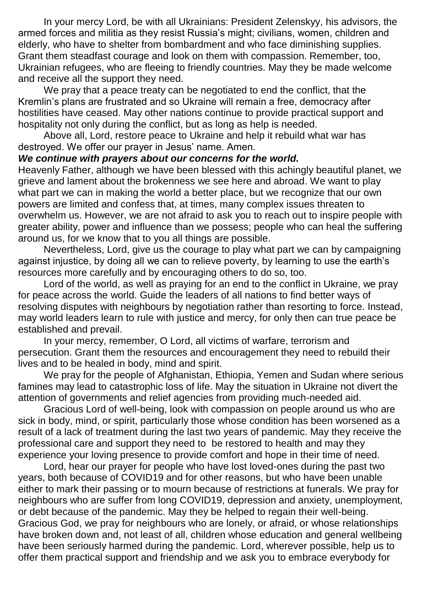In your mercy Lord, be with all Ukrainians: President Zelenskyy, his advisors, the armed forces and militia as they resist Russia's might; civilians, women, children and elderly, who have to shelter from bombardment and who face diminishing supplies. Grant them steadfast courage and look on them with compassion. Remember, too, Ukrainian refugees, who are fleeing to friendly countries. May they be made welcome and receive all the support they need.

We pray that a peace treaty can be negotiated to end the conflict, that the Kremlin's plans are frustrated and so Ukraine will remain a free, democracy after hostilities have ceased. May other nations continue to provide practical support and hospitality not only during the conflict, but as long as help is needed.

Above all, Lord, restore peace to Ukraine and help it rebuild what war has destroyed. We offer our prayer in Jesus' name. Amen.

#### *We continue with prayers about our concerns for the world.*

Heavenly Father, although we have been blessed with this achingly beautiful planet, we grieve and lament about the brokenness we see here and abroad. We want to play what part we can in making the world a better place, but we recognize that our own powers are limited and confess that, at times, many complex issues threaten to overwhelm us. However, we are not afraid to ask you to reach out to inspire people with greater ability, power and influence than we possess; people who can heal the suffering around us, for we know that to you all things are possible.

Nevertheless, Lord, give us the courage to play what part we can by campaigning against injustice, by doing all we can to relieve poverty, by learning to use the earth's resources more carefully and by encouraging others to do so, too.

Lord of the world, as well as praying for an end to the conflict in Ukraine, we pray for peace across the world. Guide the leaders of all nations to find better ways of resolving disputes with neighbours by negotiation rather than resorting to force. Instead, may world leaders learn to rule with justice and mercy, for only then can true peace be established and prevail.

In your mercy, remember, O Lord, all victims of warfare, terrorism and persecution. Grant them the resources and encouragement they need to rebuild their lives and to be healed in body, mind and spirit.

We pray for the people of Afghanistan, Ethiopia, Yemen and Sudan where serious famines may lead to catastrophic loss of life. May the situation in Ukraine not divert the attention of governments and relief agencies from providing much-needed aid.

Gracious Lord of well-being, look with compassion on people around us who are sick in body, mind, or spirit, particularly those whose condition has been worsened as a result of a lack of treatment during the last two years of pandemic. May they receive the professional care and support they need to be restored to health and may they experience your loving presence to provide comfort and hope in their time of need.

Lord, hear our prayer for people who have lost loved-ones during the past two years, both because of COVID19 and for other reasons, but who have been unable either to mark their passing or to mourn because of restrictions at funerals. We pray for neighbours who are suffer from long COVID19, depression and anxiety, unemployment, or debt because of the pandemic. May they be helped to regain their well-being. Gracious God, we pray for neighbours who are lonely, or afraid, or whose relationships have broken down and, not least of all, children whose education and general wellbeing have been seriously harmed during the pandemic. Lord, wherever possible, help us to offer them practical support and friendship and we ask you to embrace everybody for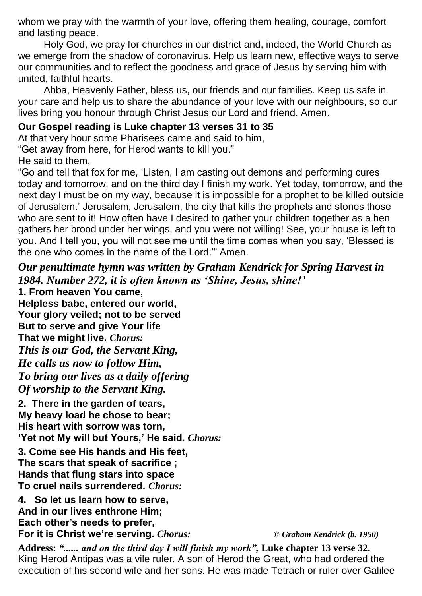whom we pray with the warmth of your love, offering them healing, courage, comfort and lasting peace.

Holy God, we pray for churches in our district and, indeed, the World Church as we emerge from the shadow of coronavirus. Help us learn new, effective ways to serve our communities and to reflect the goodness and grace of Jesus by serving him with united, faithful hearts.

Abba, Heavenly Father, bless us, our friends and our families. Keep us safe in your care and help us to share the abundance of your love with our neighbours, so our lives bring you honour through Christ Jesus our Lord and friend. Amen.

### **Our Gospel reading is Luke chapter 13 verses 31 to 35**

At that very hour some Pharisees came and said to him,

"Get away from here, for Herod wants to kill you."

He said to them,

"Go and tell that fox for me, 'Listen, I am casting out demons and performing cures today and tomorrow, and on the third day I finish my work. Yet today, tomorrow, and the next day I must be on my way, because it is impossible for a prophet to be killed outside of Jerusalem.' Jerusalem, Jerusalem, the city that kills the prophets and stones those who are sent to it! How often have I desired to gather your children together as a hen gathers her brood under her wings, and you were not willing! See, your house is left to you. And I tell you, you will not see me until the time comes when you say, 'Blessed is the one who comes in the name of the Lord.'" Amen.

## *Our penultimate hymn was written by Graham Kendrick for Spring Harvest in 1984. Number 272, it is often known as 'Shine, Jesus, shine!'*

**1. From heaven You came, Helpless babe, entered our world, Your glory veiled; not to be served But to serve and give Your life That we might live.** *Chorus: This is our God, the Servant King, He calls us now to follow Him, To bring our lives as a daily offering Of worship to the Servant King.*

**2. There in the garden of tears, My heavy load he chose to bear; His heart with sorrow was torn, 'Yet not My will but Yours,' He said.** *Chorus:*

**3. Come see His hands and His feet, The scars that speak of sacrifice ; Hands that flung stars into space To cruel nails surrendered.** *Chorus:*

**4. So let us learn how to serve, And in our lives enthrone Him; Each other's needs to prefer, For it is Christ we're serving.** *Chorus: © Graham Kendrick (b. 1950)*

**Address:** *"...... and on the third day I will finish my work",* **Luke chapter 13 verse 32.** King Herod Antipas was a vile ruler. A son of Herod the Great, who had ordered the execution of his second wife and her sons. He was made Tetrach or ruler over Galilee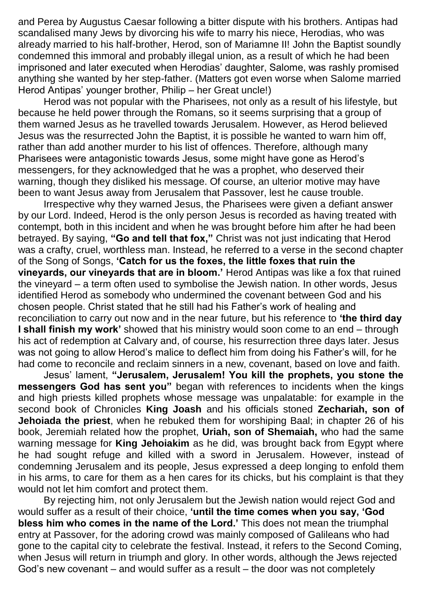and Perea by Augustus Caesar following a bitter dispute with his brothers. Antipas had scandalised many Jews by divorcing his wife to marry his niece, Herodias, who was already married to his half-brother, Herod, son of Mariamne II! John the Baptist soundly condemned this immoral and probably illegal union, as a result of which he had been imprisoned and later executed when Herodias' daughter, Salome, was rashly promised anything she wanted by her step-father. (Matters got even worse when Salome married Herod Antipas' younger brother, Philip – her Great uncle!)

Herod was not popular with the Pharisees, not only as a result of his lifestyle, but because he held power through the Romans, so it seems surprising that a group of them warned Jesus as he travelled towards Jerusalem. However, as Herod believed Jesus was the resurrected John the Baptist, it is possible he wanted to warn him off, rather than add another murder to his list of offences. Therefore, although many Pharisees were antagonistic towards Jesus, some might have gone as Herod's messengers, for they acknowledged that he was a prophet, who deserved their warning, though they disliked his message. Of course, an ulterior motive may have been to want Jesus away from Jerusalem that Passover, lest he cause trouble.

Irrespective why they warned Jesus, the Pharisees were given a defiant answer by our Lord. Indeed, Herod is the only person Jesus is recorded as having treated with contempt, both in this incident and when he was brought before him after he had been betrayed. By saying, **"Go and tell that fox,"** Christ was not just indicating that Herod was a crafty, cruel, worthless man. Instead, he referred to a verse in the second chapter of the Song of Songs, **'Catch for us the foxes, the little foxes that ruin the vineyards, our vineyards that are in bloom.'** Herod Antipas was like a fox that ruined the vineyard – a term often used to symbolise the Jewish nation. In other words, Jesus identified Herod as somebody who undermined the covenant between God and his chosen people. Christ stated that he still had his Father's work of healing and reconciliation to carry out now and in the near future, but his reference to **'the third day I shall finish my work'** showed that his ministry would soon come to an end – through his act of redemption at Calvary and, of course, his resurrection three days later. Jesus was not going to allow Herod's malice to deflect him from doing his Father's will, for he had come to reconcile and reclaim sinners in a new, covenant, based on love and faith.

Jesus' lament, **"Jerusalem, Jerusalem! You kill the prophets, you stone the messengers God has sent you"** began with references to incidents when the kings and high priests killed prophets whose message was unpalatable: for example in the second book of Chronicles **King Joash** and his officials stoned **Zechariah, son of Jehoiada the priest**, when he rebuked them for worshiping Baal; in chapter 26 of his book, Jeremiah related how the prophet, **Uriah, son of Shemaiah,** who had the same warning message for **King Jehoiakim** as he did, was brought back from Egypt where he had sought refuge and killed with a sword in Jerusalem. However, instead of condemning Jerusalem and its people, Jesus expressed a deep longing to enfold them in his arms, to care for them as a hen cares for its chicks, but his complaint is that they would not let him comfort and protect them.

By rejecting him, not only Jerusalem but the Jewish nation would reject God and would suffer as a result of their choice, **'until the time comes when you say, 'God bless him who comes in the name of the Lord.'** This does not mean the triumphal entry at Passover, for the adoring crowd was mainly composed of Galileans who had gone to the capital city to celebrate the festival. Instead, it refers to the Second Coming, when Jesus will return in triumph and glory. In other words, although the Jews rejected God's new covenant – and would suffer as a result – the door was not completely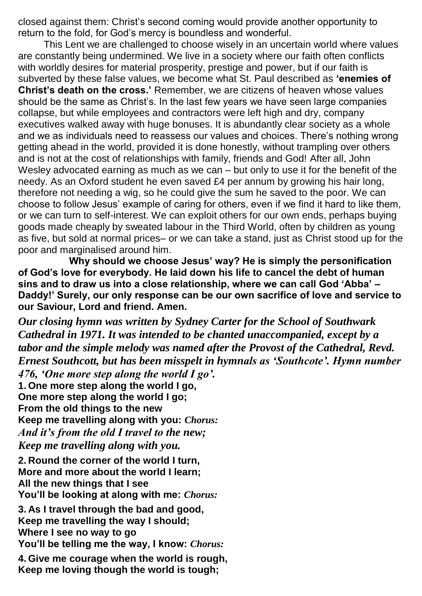closed against them: Christ's second coming would provide another opportunity to return to the fold, for God's mercy is boundless and wonderful.

This Lent we are challenged to choose wisely in an uncertain world where values are constantly being undermined. We live in a society where our faith often conflicts with worldly desires for material prosperity, prestige and power, but if our faith is subverted by these false values, we become what St. Paul described as **'enemies of Christ's death on the cross.'** Remember, we are citizens of heaven whose values should be the same as Christ's. In the last few years we have seen large companies collapse, but while employees and contractors were left high and dry, company executives walked away with huge bonuses. It is abundantly clear society as a whole and we as individuals need to reassess our values and choices. There's nothing wrong getting ahead in the world, provided it is done honestly, without trampling over others and is not at the cost of relationships with family, friends and God! After all, John Wesley advocated earning as much as we can – but only to use it for the benefit of the needy. As an Oxford student he even saved £4 per annum by growing his hair long, therefore not needing a wig, so he could give the sum he saved to the poor. We can choose to follow Jesus' example of caring for others, even if we find it hard to like them, or we can turn to self-interest. We can exploit others for our own ends, perhaps buying goods made cheaply by sweated labour in the Third World, often by children as young as five, but sold at normal prices– or we can take a stand, just as Christ stood up for the poor and marginalised around him.

**Why should we choose Jesus' way? He is simply the personification of God's love for everybody. He laid down his life to cancel the debt of human sins and to draw us into a close relationship, where we can call God 'Abba' – Daddy!' Surely, our only response can be our own sacrifice of love and service to our Saviour, Lord and friend. Amen.**

*Our closing hymn was written by Sydney Carter for the School of Southwark Cathedral in 1971. It was intended to be chanted unaccompanied, except by a tabor and the simple melody was named after the Provost of the Cathedral, Revd. Ernest Southcott, but has been misspelt in hymnals as 'Southcote'. Hymn number 476, 'One more step along the world I go'.*

**1. One more step along the world I go, One more step along the world I go; From the old things to the new Keep me travelling along with you:** *Chorus: And it's from the old I travel to the new; Keep me travelling along with you.*

**2. Round the corner of the world I turn, More and more about the world I learn; All the new things that I see You'll be looking at along with me:** *Chorus:*

**3. As I travel through the bad and good, Keep me travelling the way I should; Where I see no way to go**

**You'll be telling me the way, I know:** *Chorus:*

**4. Give me courage when the world is rough, Keep me loving though the world is tough;**